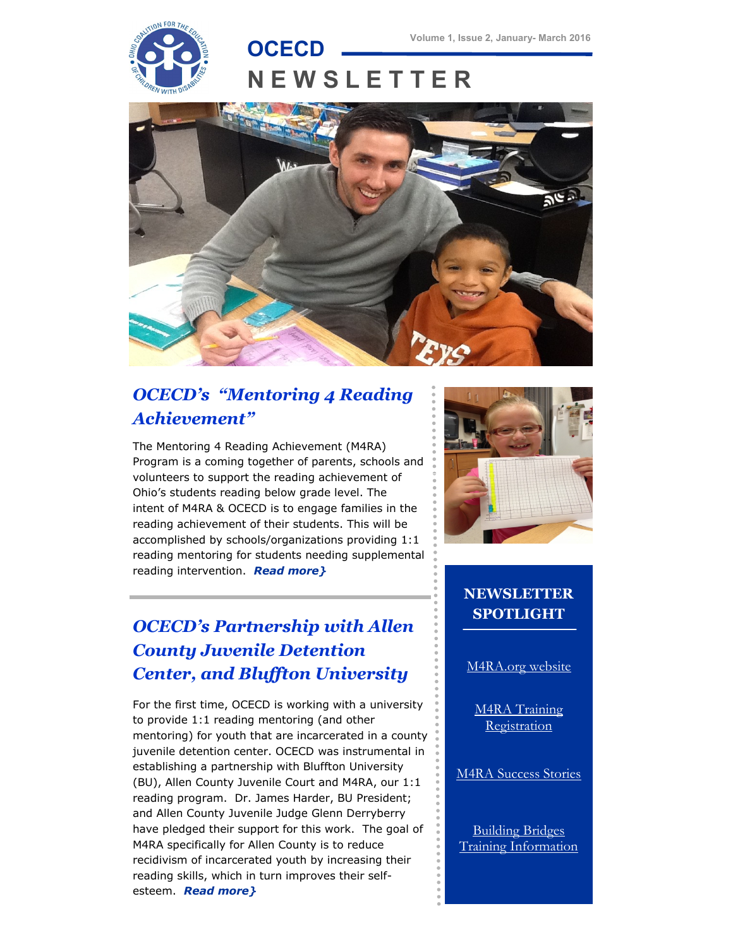

# **N E W S L E T T E R**



## *OCECD's "Mentoring 4 Reading Achievement"*

The Mentoring 4 Reading Achievement (M4RA) Program is a coming together of parents, schools and volunteers to support the reading achievement of Ohio's students reading below grade level. The intent of M4RA & OCECD is to engage families in the reading achievement of their students. This will be accomplished by schools/organizations providing 1:1 reading mentoring for students needing supplemental reading intervention. *[Read more}](http://www.ocecd.org/Downloads/M4RA%20information%20.pdf)*

## *OCECD's Partnership with Allen County Juvenile Detention Center, and Bluffton University*

For the first time, OCECD is working with a university to provide 1:1 reading mentoring (and other mentoring) for youth that are incarcerated in a county juvenile detention center. OCECD was instrumental in establishing a partnership with Bluffton University (BU), Allen County Juvenile Court and M4RA, our 1:1 reading program. Dr. James Harder, BU President; and Allen County Juvenile Judge Glenn Derryberry have pledged their support for this work. The goal of M4RA specifically for Allen County is to reduce recidivism of incarcerated youth by increasing their reading skills, which in turn improves their selfesteem. *[Read more}](http://www.ocecd.org/Downloads/OCECD%20ACJDC%20BU%20partnership%20information.pdf)*



#### **NEWSLETTER SPOTLIGHT**

[M4RA.org website](http://www.M4RA.org)

[M4RA Training](http://www.m4ra.org/instruction-sessions-2015-2016/)  [Registration](http://www.m4ra.org/instruction-sessions-2015-2016/)

[M4RA Success Stories](http://www.m4ra.org/m4ra-success-stories/)

[Building Bridges](http://findlayhopehouse.org/bridges-out-of-poverty/bop-training/)  [Training Information](http://findlayhopehouse.org/bridges-out-of-poverty/bop-training/)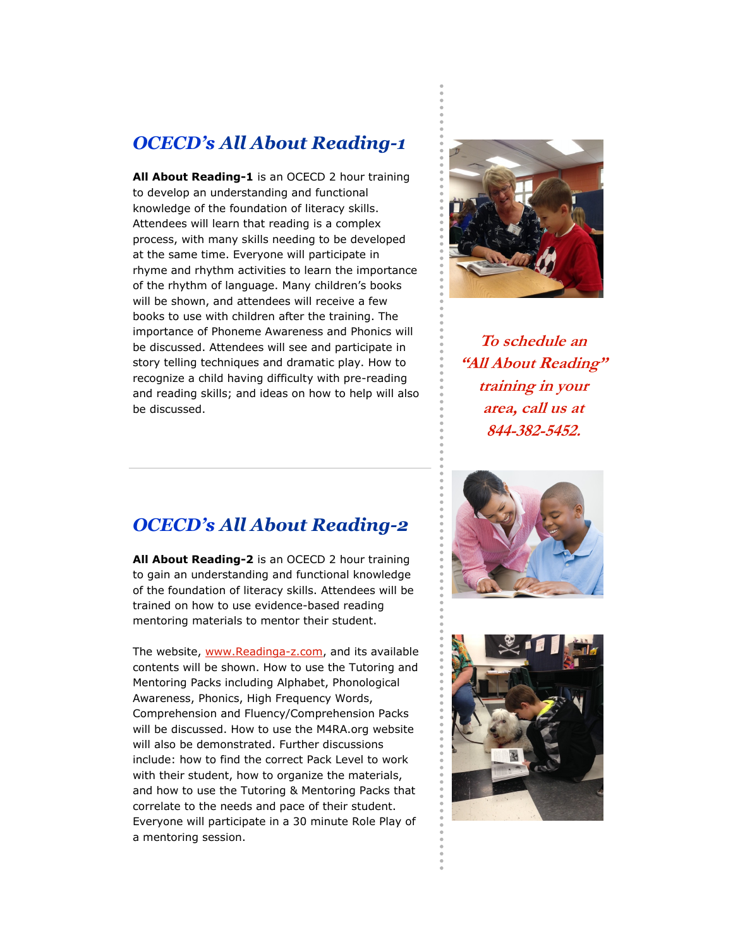#### *OCECD's All About Reading-1*

**All About Reading-1** is an OCECD 2 hour training to develop an understanding and functional knowledge of the foundation of literacy skills. Attendees will learn that reading is a complex process, with many skills needing to be developed at the same time. Everyone will participate in rhyme and rhythm activities to learn the importance of the rhythm of language. Many children's books will be shown, and attendees will receive a few books to use with children after the training. The importance of Phoneme Awareness and Phonics will be discussed. Attendees will see and participate in story telling techniques and dramatic play. How to recognize a child having difficulty with pre-reading and reading skills; and ideas on how to help will also be discussed.



**To schedule an "All About Reading" training in your area, call us at 844-382-5452.**

#### *OCECD's All About Reading-2*

**All About Reading-2** is an OCECD 2 hour training to gain an understanding and functional knowledge of the foundation of literacy skills. Attendees will be trained on how to use evidence-based reading mentoring materials to mentor their student.

The website, [www.Readinga-z.com,](http://www.Readinga-z.com) and its available contents will be shown. How to use the Tutoring and Mentoring Packs including Alphabet, Phonological Awareness, Phonics, High Frequency Words, Comprehension and Fluency/Comprehension Packs will be discussed. How to use the M4RA.org website will also be demonstrated. Further discussions include: how to find the correct Pack Level to work with their student, how to organize the materials, and how to use the Tutoring & Mentoring Packs that correlate to the needs and pace of their student. Everyone will participate in a 30 minute Role Play of a mentoring session.